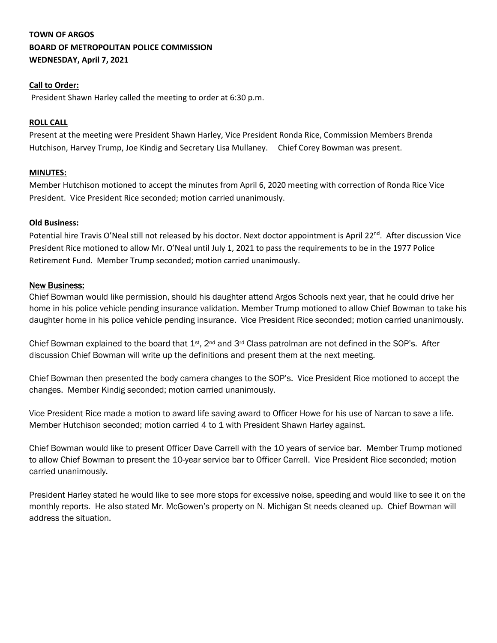# **TOWN OF ARGOS BOARD OF METROPOLITAN POLICE COMMISSION WEDNESDAY, April 7, 2021**

### **Call to Order:**

President Shawn Harley called the meeting to order at 6:30 p.m.

#### **ROLL CALL**

Present at the meeting were President Shawn Harley, Vice President Ronda Rice, Commission Members Brenda Hutchison, Harvey Trump, Joe Kindig and Secretary Lisa Mullaney. Chief Corey Bowman was present.

#### **MINUTES:**

Member Hutchison motioned to accept the minutes from April 6, 2020 meeting with correction of Ronda Rice Vice President. Vice President Rice seconded; motion carried unanimously.

#### **Old Business:**

Potential hire Travis O'Neal still not released by his doctor. Next doctor appointment is April 22<sup>nd</sup>. After discussion Vice President Rice motioned to allow Mr. O'Neal until July 1, 2021 to pass the requirements to be in the 1977 Police Retirement Fund. Member Trump seconded; motion carried unanimously.

#### New Business:

Chief Bowman would like permission, should his daughter attend Argos Schools next year, that he could drive her home in his police vehicle pending insurance validation. Member Trump motioned to allow Chief Bowman to take his daughter home in his police vehicle pending insurance. Vice President Rice seconded; motion carried unanimously.

Chief Bowman explained to the board that 1st, 2nd and 3rd Class patrolman are not defined in the SOP's. After discussion Chief Bowman will write up the definitions and present them at the next meeting.

Chief Bowman then presented the body camera changes to the SOP's. Vice President Rice motioned to accept the changes. Member Kindig seconded; motion carried unanimously.

Vice President Rice made a motion to award life saving award to Officer Howe for his use of Narcan to save a life. Member Hutchison seconded; motion carried 4 to 1 with President Shawn Harley against.

Chief Bowman would like to present Officer Dave Carrell with the 10 years of service bar. Member Trump motioned to allow Chief Bowman to present the 10-year service bar to Officer Carrell. Vice President Rice seconded; motion carried unanimously.

President Harley stated he would like to see more stops for excessive noise, speeding and would like to see it on the monthly reports. He also stated Mr. McGowen's property on N. Michigan St needs cleaned up. Chief Bowman will address the situation.